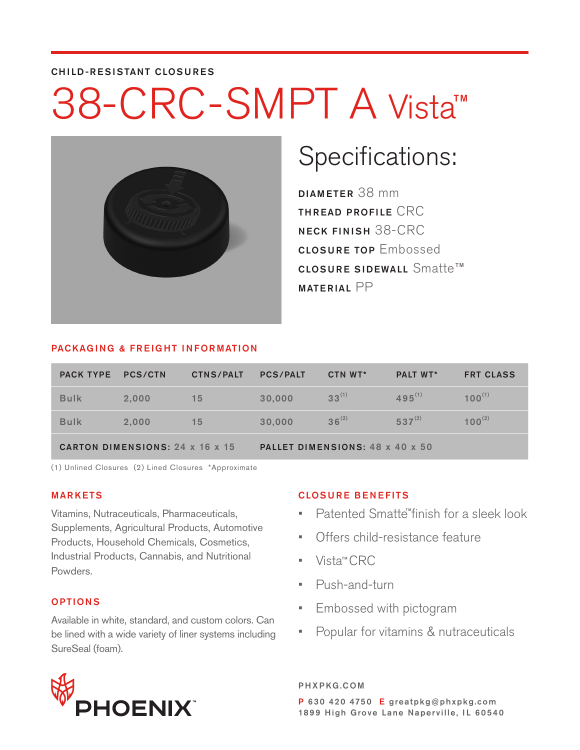#### CHILD-RESISTANT CLOSURES

### 38-CRC-SMPT A Vista TM



### Specifications:

DIAMETER 38 mm THREAD PROFILE CRC NECK FINISH 38-CRC CLOSURE TOP Embossed <code>closure</code> sidewall <code>Smatte™</code> MATERIAL PP

#### PACKAGING & FREIGHT INFORMATION

| <b>PACK TYPE</b>                | <b>PCS/CTN</b> | <b>CTNS/PALT</b> | <b>PCS/PALT</b>                 | CTN WT*    | <b>PALT WT*</b> | <b>FRT CLASS</b> |  |
|---------------------------------|----------------|------------------|---------------------------------|------------|-----------------|------------------|--|
| <b>Bulk</b>                     | 2.000          | 15               | 30,000                          | $33^{(1)}$ | $495^{(1)}$     | $100^{(1)}$      |  |
| <b>Bulk</b>                     | 2.000          | 15               | 30,000                          | $36^{(2)}$ | $537^{(2)}$     | $100^{(2)}$      |  |
| CARTON DIMENSIONS: 24 x 16 x 15 |                |                  | PALLET DIMENSIONS: 48 x 40 x 50 |            |                 |                  |  |

(1) Unlined Closures (2) Lined Closures \*Approximate

#### MARKETS

Vitamins, Nutraceuticals, Pharmaceuticals, Supplements, Agricultural Products, Automotive Products, Household Chemicals, Cosmetics, Industrial Products, Cannabis, and Nutritional Powders.

#### OPTIONS

Available in white, standard, and custom colors. Can be lined with a wide variety of liner systems including SureSeal (foam).



#### CLOSURE BENEFITS

- Patented Smatte<sup>"</sup>finish for a sleek look
- Offers child-resistance feature
- Vista™CRC
- Push-and-turn
- Embossed with pictogram
- Popular for vitamins & nutraceuticals

PHXPKG.COM P 630 420 4750 E greatpkg@phxpkg.com 1899 High Grove Lane Naperville, IL 60540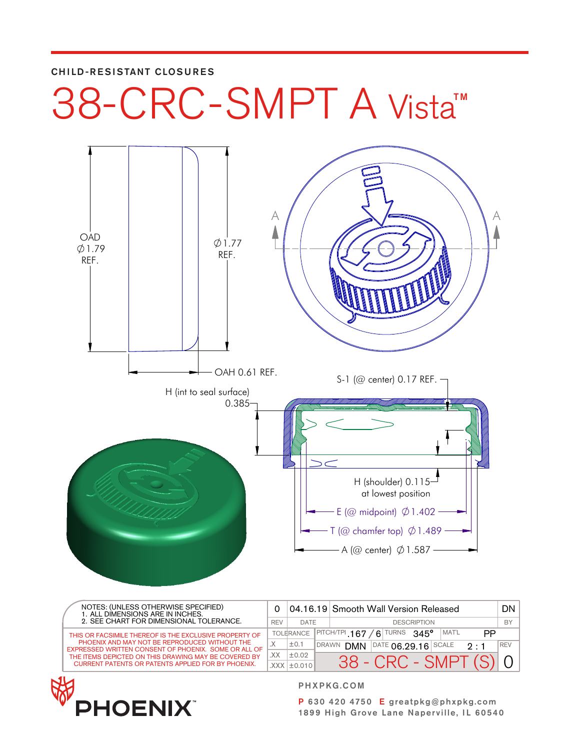#### CHILD-RESISTANT CLOSURES

# 38-CRC-SMPT A Vista™



|  | NOTES: (UNLESS OTHERWISE SPECIFIED)<br>1. ALL DIMENSIONS ARE IN INCHES.<br>2. SEE CHART FOR DIMENSIONAL TOLERANCE. |     |                   |                    | 04.16.19 Smooth Wall Version Released                                             | DN         |
|--|--------------------------------------------------------------------------------------------------------------------|-----|-------------------|--------------------|-----------------------------------------------------------------------------------|------------|
|  |                                                                                                                    |     | <b>DATE</b>       | <b>DESCRIPTION</b> |                                                                                   |            |
|  | THIS OR FACSIMILE THEREOF IS THE EXCLUSIVE PROPERTY OF                                                             |     | <b>TOLERANCE</b>  |                    | <b>TURNS</b><br>$ $ PITCH/TPI 167<br>MAT'L<br>$345^\circ$<br>6 <sup>1</sup><br>ΡP |            |
|  | PHOENIX AND MAY NOT BE REPRODUCED WITHOUT THE<br>EXPRESSED WRITTEN CONSENT OF PHOENIX. SOME OR ALL OF              |     | ±0.1              | <b>DRAWN</b>       | $\overline{)^{\text{DATE}}}$ 06.29.16 SCALE<br><b>DMN</b><br>$9 \cdot 1$          | <b>REV</b> |
|  | THE ITEMS DEPICTED ON THIS DRAWING MAY BE COVERED BY                                                               | XX. | ±0.02             |                    |                                                                                   |            |
|  | <b>CURRENT PATENTS OR PATENTS APPLIED FOR BY PHOENIX.</b>                                                          |     | $XXX$ $\pm$ 0.010 |                    | $38$ - CRC - SMPT $(S)$                                                           |            |



PHXPKG.COM

P 630 420 4750 E greatpkg@phxpkg.com 1899 High Grove Lane Naperville, IL 60540